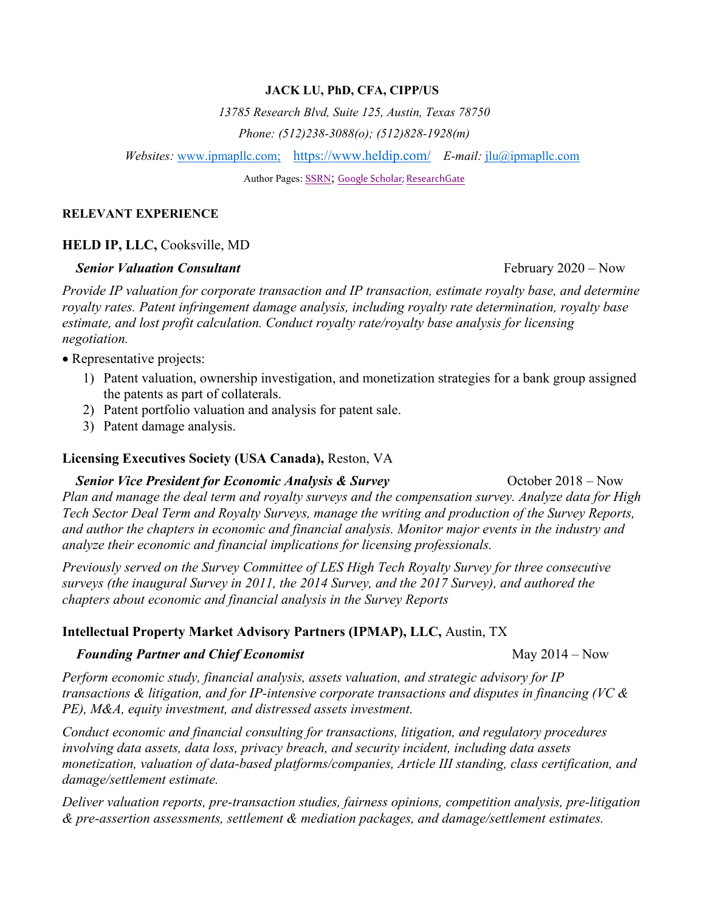#### **JACK LU, PhD, CFA, CIPP/US**

*13785 Research Blvd, Suite 125, Austin, Texas 78750*

*Phone: (512)238-3088(o); (512)828-1928(m)*

*Websites:* [www.ipmapllc.com;](http://www.ipmapllc.com/) <https://www.heldip.com/> *E-mail:* [jlu@ipmapllc.com](mailto:jlu@ipmapllc.com)

Author Pages: [SSRN;](http://www.ssrn.com/author=230071) [Google Scholar;](https://scholar.google.com/citations?user=omhZ8u0AAAAJ&hl=en) [ResearchGate](http://www.researchgate.net/profile/Jack_Lu7)

#### **RELEVANT EXPERIENCE**

### **HELD IP, LLC,** Cooksville, MD

#### *Senior Valuation Consultant Senior Valuation Consultant Consultant Consultant Consultant Consultant Consultant Consultant Consultant Consultant Consultant Consultant Consul*

*Provide IP valuation for corporate transaction and IP transaction, estimate royalty base, and determine royalty rates. Patent infringement damage analysis, including royalty rate determination, royalty base estimate, and lost profit calculation. Conduct royalty rate/royalty base analysis for licensing negotiation.* 

• Representative projects:

- 1) Patent valuation, ownership investigation, and monetization strategies for a bank group assigned the patents as part of collaterals.
- 2) Patent portfolio valuation and analysis for patent sale.
- 3) Patent damage analysis.

### **Licensing Executives Society (USA Canada),** Reston, VA

## *Senior Vice President for Economic Analysis & Survey* **<b>***October 2018 – Now <i>October 2018 – Now*

*Plan and manage the deal term and royalty surveys and the compensation survey. Analyze data for High Tech Sector Deal Term and Royalty Surveys, manage the writing and production of the Survey Reports, and author the chapters in economic and financial analysis. Monitor major events in the industry and analyze their economic and financial implications for licensing professionals.* 

*Previously served on the Survey Committee of LES High Tech Royalty Survey for three consecutive surveys (the inaugural Survey in 2011, the 2014 Survey, and the 2017 Survey), and authored the chapters about economic and financial analysis in the Survey Reports*

## **Intellectual Property Market Advisory Partners (IPMAP), LLC,** Austin, TX

#### *Founding Partner and Chief Economist May 2014 – Now*

*Perform economic study, financial analysis, assets valuation, and strategic advisory for IP transactions & litigation, and for IP-intensive corporate transactions and disputes in financing (VC & PE), M&A, equity investment, and distressed assets investment.* 

*Conduct economic and financial consulting for transactions, litigation, and regulatory procedures involving data assets, data loss, privacy breach, and security incident, including data assets monetization, valuation of data-based platforms/companies, Article III standing, class certification, and damage/settlement estimate.*

*Deliver valuation reports, pre-transaction studies, fairness opinions, competition analysis, pre-litigation & pre-assertion assessments, settlement & mediation packages, and damage/settlement estimates.*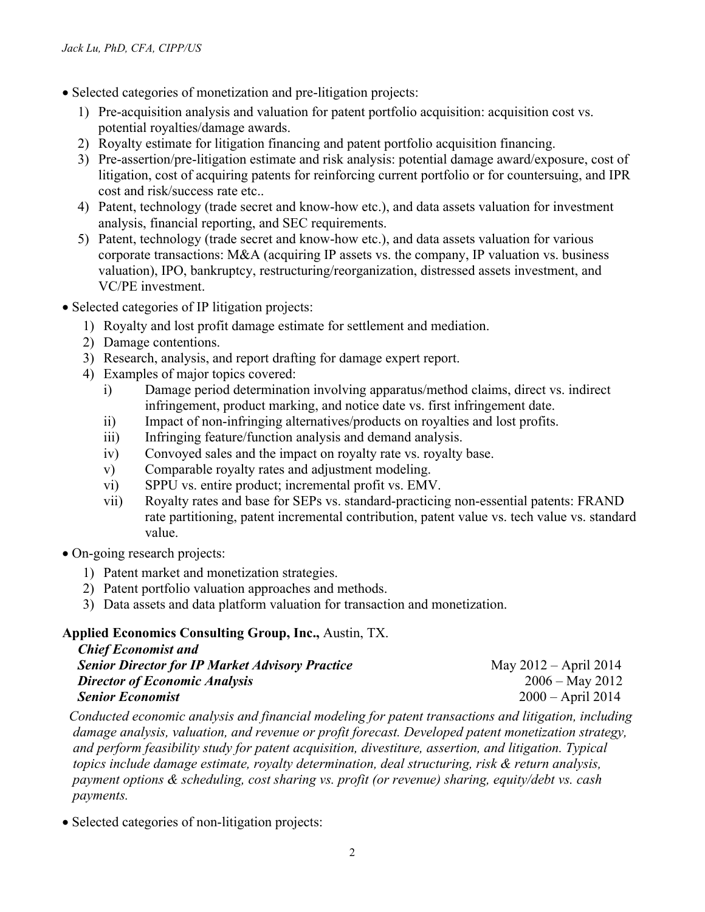- Selected categories of monetization and pre-litigation projects:
	- 1) Pre-acquisition analysis and valuation for patent portfolio acquisition: acquisition cost vs. potential royalties/damage awards.
	- 2) Royalty estimate for litigation financing and patent portfolio acquisition financing.
	- 3) Pre-assertion/pre-litigation estimate and risk analysis: potential damage award/exposure, cost of litigation, cost of acquiring patents for reinforcing current portfolio or for countersuing, and IPR cost and risk/success rate etc..
	- 4) Patent, technology (trade secret and know-how etc.), and data assets valuation for investment analysis, financial reporting, and SEC requirements.
	- 5) Patent, technology (trade secret and know-how etc.), and data assets valuation for various corporate transactions: M&A (acquiring IP assets vs. the company, IP valuation vs. business valuation), IPO, bankruptcy, restructuring/reorganization, distressed assets investment, and VC/PE investment.
- Selected categories of IP litigation projects:
	- 1) Royalty and lost profit damage estimate for settlement and mediation.
	- 2) Damage contentions.
	- 3) Research, analysis, and report drafting for damage expert report.
	- 4) Examples of major topics covered:
		- i) Damage period determination involving apparatus/method claims, direct vs. indirect infringement, product marking, and notice date vs. first infringement date.
		- ii) Impact of non-infringing alternatives/products on royalties and lost profits.
		- iii) Infringing feature/function analysis and demand analysis.
		- iv) Convoyed sales and the impact on royalty rate vs. royalty base.
		- v) Comparable royalty rates and adjustment modeling.
		- vi) SPPU vs. entire product; incremental profit vs. EMV.
		- vii) Royalty rates and base for SEPs vs. standard-practicing non-essential patents: FRAND rate partitioning, patent incremental contribution, patent value vs. tech value vs. standard value.
- On-going research projects:
	- 1) Patent market and monetization strategies.
	- 2) Patent portfolio valuation approaches and methods.
	- 3) Data assets and data platform valuation for transaction and monetization.

# **Applied Economics Consulting Group, Inc.,** Austin, TX.

| <b>Chief Economist and</b>                             |                         |
|--------------------------------------------------------|-------------------------|
| <b>Senior Director for IP Market Advisory Practice</b> | May $2012 - April 2014$ |
| <b>Director of Economic Analysis</b>                   | $2006 -$ May 2012       |
| <b>Senior Economist</b>                                | $2000 - April 2014$     |

*Conducted economic analysis and financial modeling for patent transactions and litigation, including damage analysis, valuation, and revenue or profit forecast. Developed patent monetization strategy, and perform feasibility study for patent acquisition, divestiture, assertion, and litigation. Typical topics include damage estimate, royalty determination, deal structuring, risk & return analysis, payment options & scheduling, cost sharing vs. profit (or revenue) sharing, equity/debt vs. cash payments.*

• Selected categories of non-litigation projects: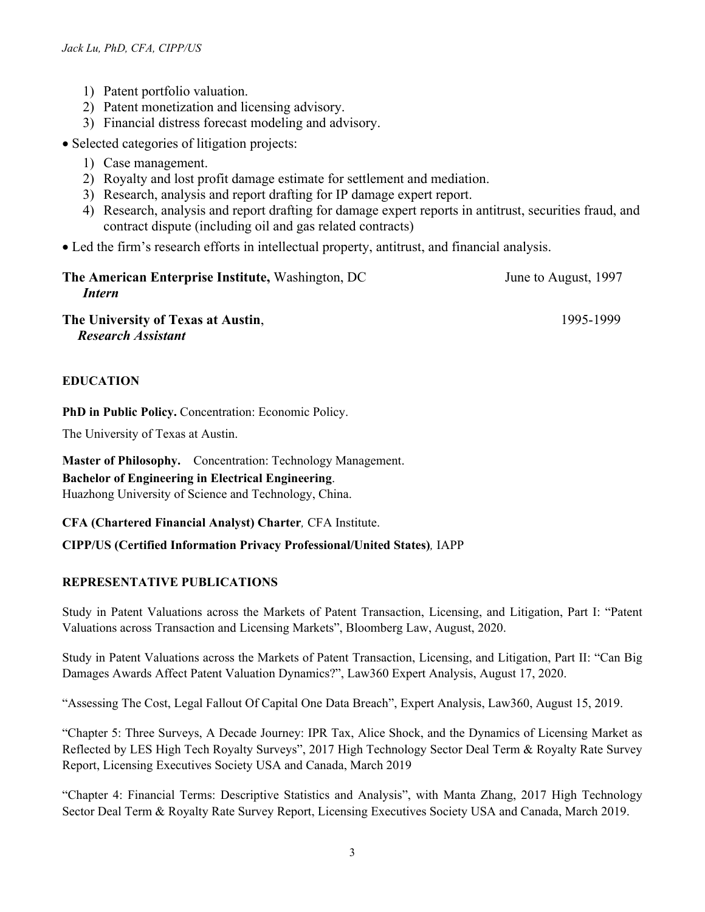- 1) Patent portfolio valuation.
- 2) Patent monetization and licensing advisory.
- 3) Financial distress forecast modeling and advisory.
- Selected categories of litigation projects:
	- 1) Case management.
	- 2) Royalty and lost profit damage estimate for settlement and mediation.
	- 3) Research, analysis and report drafting for IP damage expert report.
	- 4) Research, analysis and report drafting for damage expert reports in antitrust, securities fraud, and contract dispute (including oil and gas related contracts)
- Led the firm's research efforts in intellectual property, antitrust, and financial analysis.

| The American Enterprise Institute, Washington, DC | June to August, 1997 |
|---------------------------------------------------|----------------------|
| Intern                                            |                      |
| The University of Texas at Austin,                | 1995-1999            |

*Research Assistant*

## **EDUCATION**

**PhD in Public Policy.** Concentration: Economic Policy.

The University of Texas at Austin.

**Master of Philosophy.** Concentration: Technology Management.

**Bachelor of Engineering in Electrical Engineering**.

Huazhong University of Science and Technology, China.

**CFA (Chartered Financial Analyst) Charter***,* CFA Institute.

# **CIPP/US (Certified Information Privacy Professional/United States)***,* IAPP

# **REPRESENTATIVE PUBLICATIONS**

Study in Patent Valuations across the Markets of Patent Transaction, Licensing, and Litigation, Part I: "Patent Valuations across Transaction and Licensing Markets", Bloomberg Law, August, 2020.

Study in Patent Valuations across the Markets of Patent Transaction, Licensing, and Litigation, Part II: "Can Big Damages Awards Affect Patent Valuation Dynamics?", Law360 Expert Analysis, August 17, 2020.

"Assessing The Cost, Legal Fallout Of Capital One Data Breach", Expert Analysis, Law360, August 15, 2019.

"Chapter 5: Three Surveys, A Decade Journey: IPR Tax, Alice Shock, and the Dynamics of Licensing Market as Reflected by LES High Tech Royalty Surveys", 2017 High Technology Sector Deal Term & Royalty Rate Survey Report, Licensing Executives Society USA and Canada, March 2019

"Chapter 4: Financial Terms: Descriptive Statistics and Analysis", with Manta Zhang, 2017 High Technology Sector Deal Term & Royalty Rate Survey Report, Licensing Executives Society USA and Canada, March 2019.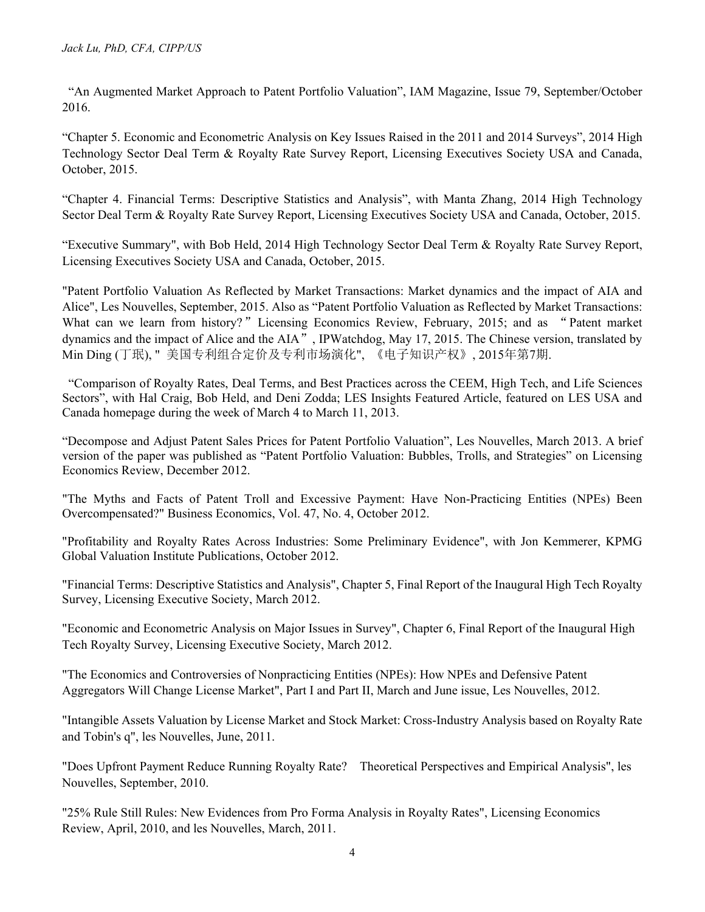"An Augmented Market Approach to Patent Portfolio Valuation", IAM Magazine, Issue 79, September/October 2016.

"Chapter 5. Economic and Econometric Analysis on Key Issues Raised in the 2011 and 2014 Surveys", 2014 High Technology Sector Deal Term & Royalty Rate Survey Report, Licensing Executives Society USA and Canada, October, 2015.

"Chapter 4. Financial Terms: Descriptive Statistics and Analysis", with Manta Zhang, 2014 High Technology Sector Deal Term & Royalty Rate Survey Report, Licensing Executives Society USA and Canada, October, 2015.

"Executive Summary", with Bob Held, 2014 High Technology Sector Deal Term & Royalty Rate Survey Report, Licensing Executives Society USA and Canada, October, 2015.

"Patent Portfolio Valuation As Reflected by Market Transactions: Market dynamics and the impact of AIA and Alice", Les Nouvelles, September, 2015. Also as "Patent Portfolio Valuation as Reflected by Market Transactions: What can we learn from history?" Licensing Economics Review, February, 2015; and as "Patent market dynamics and the impact of Alice and the AIA", IPWatchdog, May 17, 2015. The Chinese version, translated by Min Ding (丁珉), " 美国专利组合定价及专利市场演化", 《电子知识产权》, 2015年第7期.

"Comparison of Royalty Rates, Deal Terms, and Best Practices across the CEEM, High Tech, and Life Sciences Sectors", with Hal Craig, Bob Held, and Deni Zodda; LES Insights Featured Article, featured on LES USA and Canada homepage during the week of March 4 to March 11, 2013.

"Decompose and Adjust Patent Sales Prices for Patent Portfolio Valuation", Les Nouvelles, March 2013. A brief version of the paper was published as "Patent Portfolio Valuation: Bubbles, Trolls, and Strategies" on Licensing Economics Review, December 2012.

"The Myths and Facts of Patent Troll and Excessive Payment: Have Non-Practicing Entities (NPEs) Been Overcompensated?" Business Economics, Vol. 47, No. 4, October 2012.

"Profitability and Royalty Rates Across Industries: Some Preliminary Evidence", with Jon Kemmerer, KPMG Global Valuation Institute Publications, October 2012.

"Financial Terms: Descriptive Statistics and Analysis", Chapter 5, Final Report of the Inaugural High Tech Royalty Survey, Licensing Executive Society, March 2012.

"Economic and Econometric Analysis on Major Issues in Survey", Chapter 6, Final Report of the Inaugural High Tech Royalty Survey, Licensing Executive Society, March 2012.

"The Economics and Controversies of Nonpracticing Entities (NPEs): How NPEs and Defensive Patent Aggregators Will Change License Market", Part I and Part II, March and June issue, Les Nouvelles, 2012.

"Intangible Assets Valuation by License Market and Stock Market: Cross-Industry Analysis based on Royalty Rate and Tobin's q", les Nouvelles, June, 2011.

"Does Upfront Payment Reduce Running Royalty Rate? Theoretical Perspectives and Empirical Analysis", les Nouvelles, September, 2010.

"25% Rule Still Rules: New Evidences from Pro Forma Analysis in Royalty Rates", Licensing Economics Review, April, 2010, and les Nouvelles, March, 2011.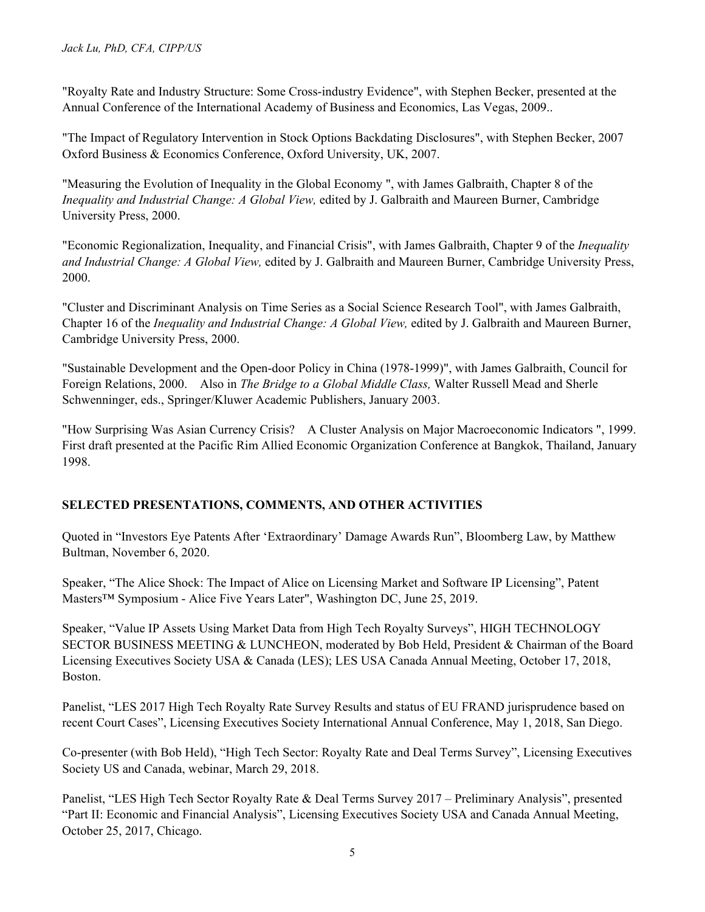"Royalty Rate and Industry Structure: Some Cross-industry Evidence", with Stephen Becker, presented at the Annual Conference of the International Academy of Business and Economics, Las Vegas, 2009..

"The Impact of Regulatory Intervention in Stock Options Backdating Disclosures", with Stephen Becker, 2007 Oxford Business & Economics Conference, Oxford University, UK, 2007.

"Measuring the Evolution of Inequality in the Global Economy ", with James Galbraith, Chapter 8 of the *Inequality and Industrial Change: A Global View,* edited by J. Galbraith and Maureen Burner, Cambridge University Press, 2000.

"Economic Regionalization, Inequality, and Financial Crisis", with James Galbraith, Chapter 9 of the *Inequality and Industrial Change: A Global View,* edited by J. Galbraith and Maureen Burner, Cambridge University Press, 2000.

"Cluster and Discriminant Analysis on Time Series as a Social Science Research Tool", with James Galbraith, Chapter 16 of the *Inequality and Industrial Change: A Global View,* edited by J. Galbraith and Maureen Burner, Cambridge University Press, 2000.

"Sustainable Development and the Open-door Policy in China (1978-1999)", with James Galbraith, Council for Foreign Relations, 2000. Also in *The Bridge to a Global Middle Class,* Walter Russell Mead and Sherle Schwenninger, eds., Springer/Kluwer Academic Publishers, January 2003.

"How Surprising Was Asian Currency Crisis? A Cluster Analysis on Major Macroeconomic Indicators ", 1999. First draft presented at the Pacific Rim Allied Economic Organization Conference at Bangkok, Thailand, January 1998.

## **SELECTED PRESENTATIONS, COMMENTS, AND OTHER ACTIVITIES**

Quoted in "Investors Eye Patents After 'Extraordinary' Damage Awards Run", Bloomberg Law, by Matthew Bultman, November 6, 2020.

Speaker, "The Alice Shock: The Impact of Alice on Licensing Market and Software IP Licensing", Patent Masters™ Symposium - Alice Five Years Later", Washington DC, June 25, 2019.

Speaker, "Value IP Assets Using Market Data from High Tech Royalty Surveys", HIGH TECHNOLOGY SECTOR BUSINESS MEETING & LUNCHEON, moderated by Bob Held, President & Chairman of the Board Licensing Executives Society USA & Canada (LES); LES USA Canada Annual Meeting, October 17, 2018, Boston.

Panelist, "LES 2017 High Tech Royalty Rate Survey Results and status of EU FRAND jurisprudence based on recent Court Cases", Licensing Executives Society International Annual Conference, May 1, 2018, San Diego.

Co-presenter (with Bob Held), "High Tech Sector: Royalty Rate and Deal Terms Survey", Licensing Executives Society US and Canada, webinar, March 29, 2018.

Panelist, "LES High Tech Sector Royalty Rate & Deal Terms Survey 2017 – Preliminary Analysis", presented "Part II: Economic and Financial Analysis", Licensing Executives Society USA and Canada Annual Meeting, October 25, 2017, Chicago.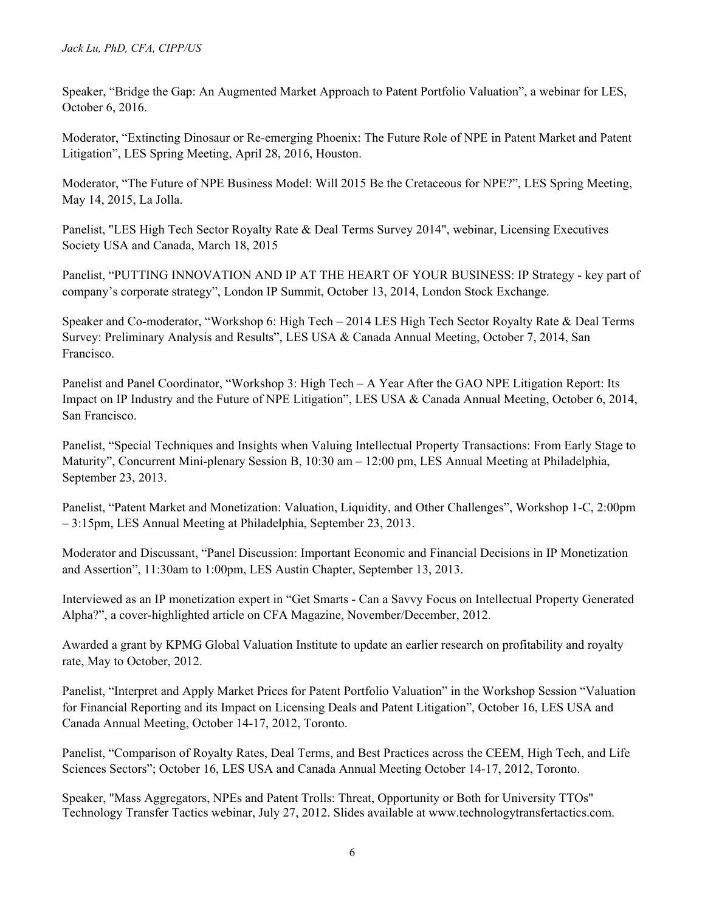Speaker, "Bridge the Gap: An Augmented Market Approach to Patent Portfolio Valuation", a webinar for LES, October 6, 2016.

Moderator, "Extincting Dinosaur or Re-emerging Phoenix: The Future Role of NPE in Patent Market and Patent Litigation", LES Spring Meeting, April 28, 2016, Houston.

Moderator, "The Future of NPE Business Model: Will 2015 Be the Cretaceous for NPE?", LES Spring Meeting, May 14, 2015, La Jolla.

Panelist, "LES High Tech Sector Royalty Rate & Deal Terms Survey 2014", webinar, Licensing Executives Society USA and Canada, March 18, 2015

Panelist, "PUTTING INNOVATION AND IP AT THE HEART OF YOUR BUSINESS: IP Strategy - key part of company's corporate strategy", London IP Summit, October 13, 2014, London Stock Exchange.

Speaker and Co-moderator, "Workshop 6: High Tech – 2014 LES High Tech Sector Royalty Rate & Deal Terms Survey: Preliminary Analysis and Results", LES USA & Canada Annual Meeting, October 7, 2014, San Francisco.

Panelist and Panel Coordinator, "Workshop 3: High Tech – A Year After the GAO NPE Litigation Report: Its Impact on IP Industry and the Future of NPE Litigation", LES USA & Canada Annual Meeting, October 6, 2014, San Francisco.

Panelist, "Special Techniques and Insights when Valuing Intellectual Property Transactions: From Early Stage to Maturity", Concurrent Mini-plenary Session B, 10:30 am – 12:00 pm, LES Annual Meeting at Philadelphia, September 23, 2013.

Panelist, "Patent Market and Monetization: Valuation, Liquidity, and Other Challenges", Workshop 1-C, 2:00pm – 3:15pm, LES Annual Meeting at Philadelphia, September 23, 2013.

Moderator and Discussant, "Panel Discussion: Important Economic and Financial Decisions in IP Monetization and Assertion", 11:30am to 1:00pm, LES Austin Chapter, September 13, 2013.

Interviewed as an IP monetization expert in "Get Smarts - Can a Savvy Focus on Intellectual Property Generated Alpha?", a cover-highlighted article on CFA Magazine, November/December, 2012.

Awarded a grant by KPMG Global Valuation Institute to update an earlier research on profitability and royalty rate, May to October, 2012.

Panelist, "Interpret and Apply Market Prices for Patent Portfolio Valuation" in the Workshop Session "Valuation for Financial Reporting and its Impact on Licensing Deals and Patent Litigation", October 16, LES USA and Canada Annual Meeting, October 14-17, 2012, Toronto.

Panelist, "Comparison of Royalty Rates, Deal Terms, and Best Practices across the CEEM, High Tech, and Life Sciences Sectors"; October 16, LES USA and Canada Annual Meeting October 14-17, 2012, Toronto.

Speaker, "Mass Aggregators, NPEs and Patent Trolls: Threat, Opportunity or Both for University TTOs" Technology Transfer Tactics webinar, July 27, 2012. Slides available at www.technologytransfertactics.com.